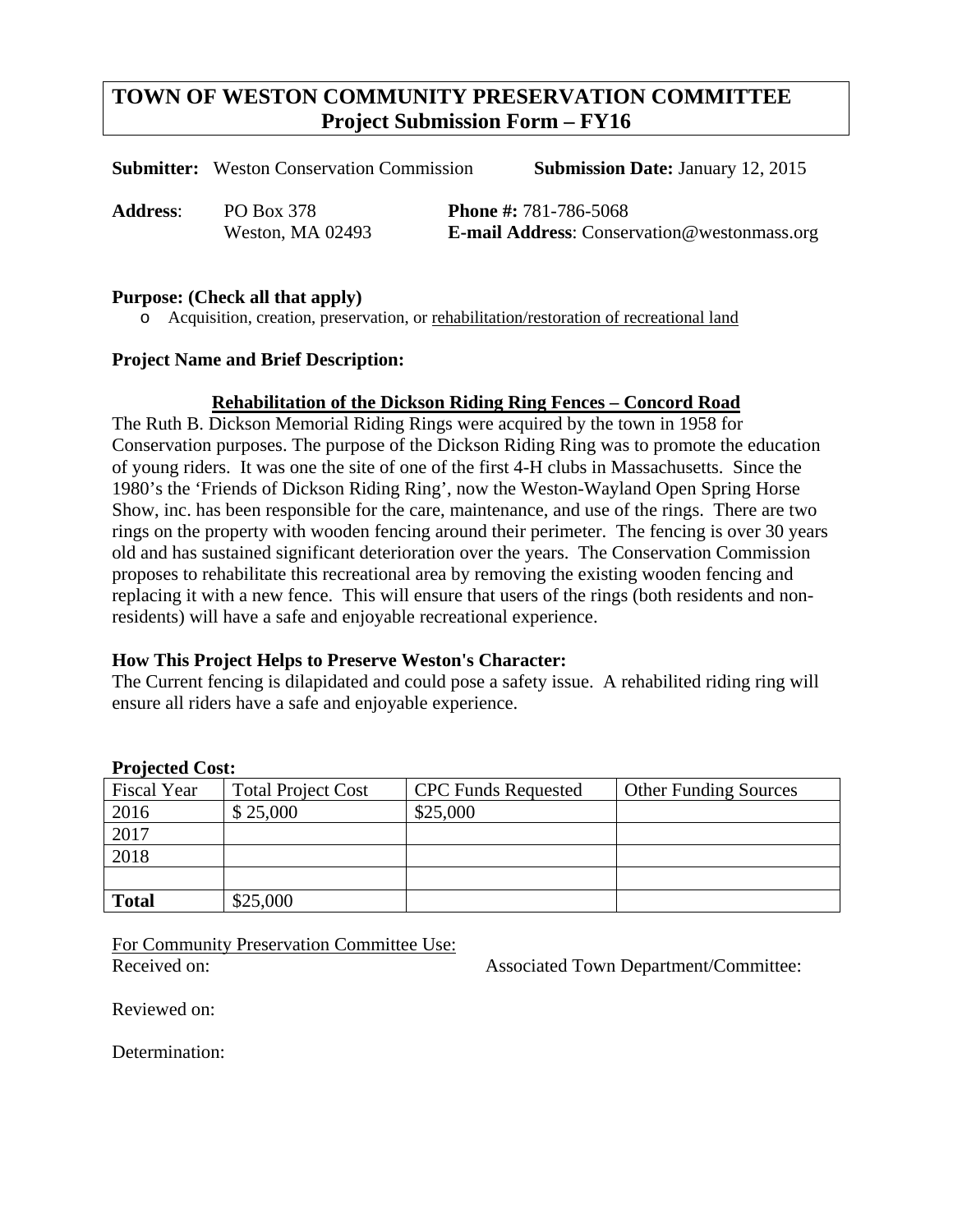# **TOWN OF WESTON COMMUNITY PRESERVATION COMMITTEE Project Submission Form – FY16**

**Submitter:** Weston Conservation Commission **Submission Date:** January 12, 2015

**Address**: PO Box 378 **Phone #:** 781-786-5068

Weston, MA 02493 **E-mail Address**: Conservation@westonmass.org

# **Purpose: (Check all that apply)**

o Acquisition, creation, preservation, or rehabilitation/restoration of recreational land

### **Project Name and Brief Description:**

## **Rehabilitation of the Dickson Riding Ring Fences – Concord Road**

The Ruth B. Dickson Memorial Riding Rings were acquired by the town in 1958 for Conservation purposes. The purpose of the Dickson Riding Ring was to promote the education of young riders. It was one the site of one of the first 4-H clubs in Massachusetts. Since the 1980's the 'Friends of Dickson Riding Ring', now the Weston-Wayland Open Spring Horse Show, inc. has been responsible for the care, maintenance, and use of the rings. There are two rings on the property with wooden fencing around their perimeter. The fencing is over 30 years old and has sustained significant deterioration over the years. The Conservation Commission proposes to rehabilitate this recreational area by removing the existing wooden fencing and replacing it with a new fence. This will ensure that users of the rings (both residents and nonresidents) will have a safe and enjoyable recreational experience.

### **How This Project Helps to Preserve Weston's Character:**

The Current fencing is dilapidated and could pose a safety issue. A rehabilited riding ring will ensure all riders have a safe and enjoyable experience.

| <b>Troperty Cost</b> |                           |                            |                              |
|----------------------|---------------------------|----------------------------|------------------------------|
| <b>Fiscal Year</b>   | <b>Total Project Cost</b> | <b>CPC</b> Funds Requested | <b>Other Funding Sources</b> |
| 2016                 | \$25,000                  | \$25,000                   |                              |
| 2017                 |                           |                            |                              |
| 2018                 |                           |                            |                              |
|                      |                           |                            |                              |
| <b>Total</b>         | \$25,000                  |                            |                              |

#### **Projected Cost:**

For Community Preservation Committee Use: Received on: Associated Town Department/Committee:

Reviewed on:

Determination: